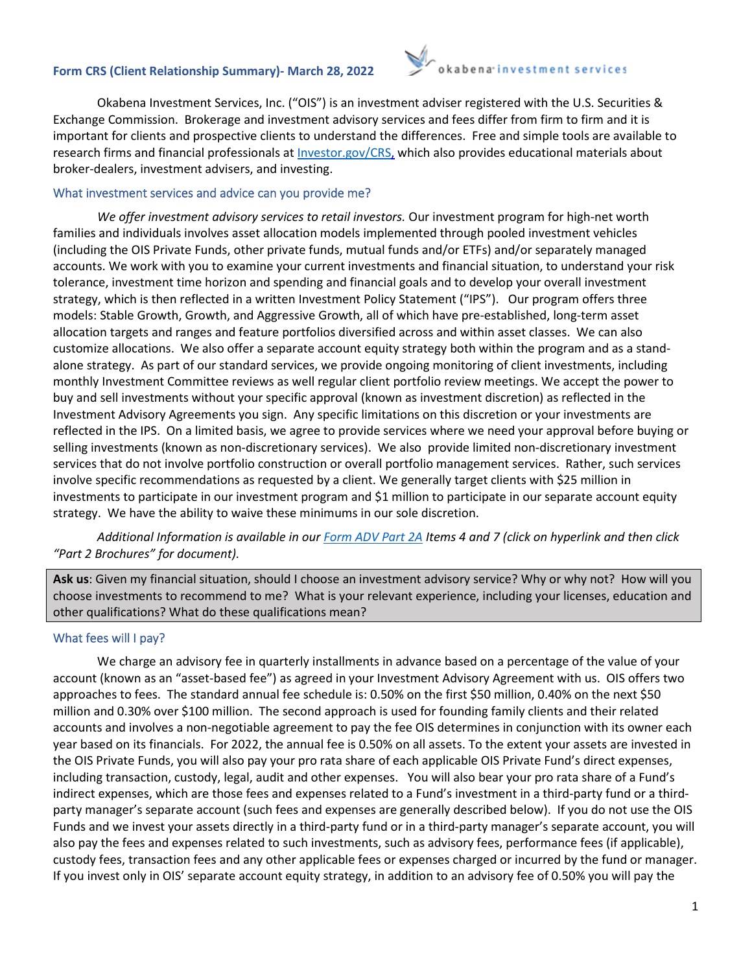# **Form CRS (Client Relationship Summary)- March 28, 2022**



Okabena Investment Services, Inc. ("OIS") is an investment adviser registered with the U.S. Securities & Exchange Commission. Brokerage and investment advisory services and fees differ from firm to firm and it is important for clients and prospective clients to understand the differences. Free and simple tools are available to research firms and financial professionals at [Investor.gov/CRS](https://www.investor.gov/home/welcome-investor-gov-crs)[, w](http://investor.gov/CRS,)hich also provides educational materials about broker-dealers, investment advisers, and investing.

## What investment services and advice can you provide me?

*We offer investment advisory services to retail investors.* Our investment program for high-net worth families and individuals involves asset allocation models implemented through pooled investment vehicles (including the OIS Private Funds, other private funds, mutual funds and/or ETFs) and/or separately managed accounts. We work with you to examine your current investments and financial situation, to understand your risk tolerance, investment time horizon and spending and financial goals and to develop your overall investment strategy, which is then reflected in a written Investment Policy Statement ("IPS"). Our program offers three models: Stable Growth, Growth, and Aggressive Growth, all of which have pre-established, long-term asset allocation targets and ranges and feature portfolios diversified across and within asset classes. We can also customize allocations. We also offer a separate account equity strategy both within the program and as a standalone strategy. As part of our standard services, we provide ongoing monitoring of client investments, including monthly Investment Committee reviews as well regular client portfolio review meetings. We accept the power to buy and sell investments without your specific approval (known as investment discretion) as reflected in the Investment Advisory Agreements you sign. Any specific limitations on this discretion or your investments are reflected in the IPS. On a limited basis, we agree to provide services where we need your approval before buying or selling investments (known as non-discretionary services). We also provide limited non-discretionary investment services that do not involve portfolio construction or overall portfolio management services. Rather, such services involve specific recommendations as requested by a client. We generally target clients with \$25 million in investments to participate in our investment program and \$1 million to participate in our separate account equity strategy. We have the ability to waive these minimums in our sole discretion.

*Additional Information is available in ou[r Form ADV Part 2A](https://adviserinfo.sec.gov/firm/summary/111162) Items 4 and 7 (click on hyperlink and then click "Part 2 Brochures" for document).* 

**Ask us**: Given my financial situation, should I choose an investment advisory service? Why or why not? How will you choose investments to recommend to me? What is your relevant experience, including your licenses, education and other qualifications? What do these qualifications mean?

## What fees will I pay?

We charge an advisory fee in quarterly installments in advance based on a percentage of the value of your account (known as an "asset-based fee") as agreed in your Investment Advisory Agreement with us. OIS offers two approaches to fees. The standard annual fee schedule is: 0.50% on the first \$50 million, 0.40% on the next \$50 million and 0.30% over \$100 million. The second approach is used for founding family clients and their related accounts and involves a non-negotiable agreement to pay the fee OIS determines in conjunction with its owner each year based on its financials. For 2022, the annual fee is 0.50% on all assets. To the extent your assets are invested in the OIS Private Funds, you will also pay your pro rata share of each applicable OIS Private Fund's direct expenses, including transaction, custody, legal, audit and other expenses. You will also bear your pro rata share of a Fund's indirect expenses, which are those fees and expenses related to a Fund's investment in a third-party fund or a thirdparty manager's separate account (such fees and expenses are generally described below). If you do not use the OIS Funds and we invest your assets directly in a third-party fund or in a third-party manager's separate account, you will also pay the fees and expenses related to such investments, such as advisory fees, performance fees (if applicable), custody fees, transaction fees and any other applicable fees or expenses charged or incurred by the fund or manager. If you invest only in OIS' separate account equity strategy, in addition to an advisory fee of 0.50% you will pay the